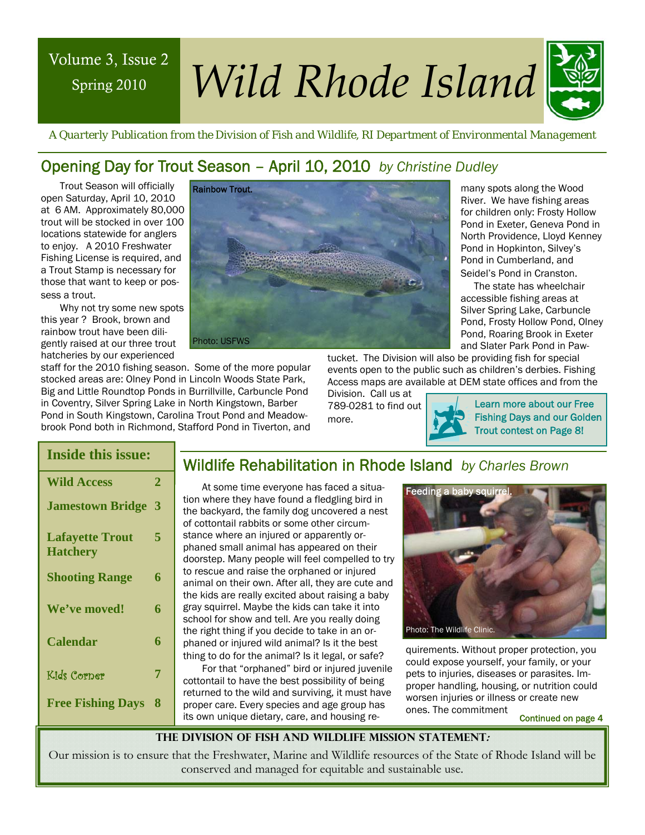# Spring 2010

# Volume 3, Issue 2 *Wild Rhode Island*



 *A Quarterly Publication from the Division of Fish and Wildlife, RI Department of Environmental Management* 

# Opening Day for Trout Season – April 10, 2010 *by Christine Dudley*

Trout Season will officially open Saturday, April 10, 2010 at 6 AM. Approximately 80,000 trout will be stocked in over 100 locations statewide for anglers to enjoy. A 2010 Freshwater Fishing License is required, and a Trout Stamp is necessary for those that want to keep or possess a trout.

Why not try some new spots this year ? Brook, brown and rainbow trout have been diligently raised at our three trout hatcheries by our experienced

staff for the 2010 fishing season. Some of the more popular stocked areas are: Olney Pond in Lincoln Woods State Park, Big and Little Roundtop Ponds in Burrillville, Carbuncle Pond in Coventry, Silver Spring Lake in North Kingstown, Barber Pond in South Kingstown, Carolina Trout Pond and Meadowbrook Pond both in Richmond, Stafford Pond in Tiverton, and

Rainbow Trout. Photo: USFWS

North Providence, Lloyd Kenney Pond in Hopkinton, Silvey's Pond in Cumberland, and Seidel's Pond in Cranston. The state has wheelchair accessible fishing areas at

many spots along the Wood River. We have fishing areas for children only: Frosty Hollow Pond in Exeter, Geneva Pond in

Silver Spring Lake, Carbuncle Pond, Frosty Hollow Pond, Olney Pond, Roaring Brook in Exeter and Slater Park Pond in Paw-

tucket. The Division will also be providing fish for special events open to the public such as children's derbies. Fishing Access maps are available at DEM state offices and from the

Division. Call us at 789-0281 to find out more.

Learn more about our Free Fishing Days and our Golden Trout contest on Page 8!

| <b>Inside this issue:</b>                 |   |  |
|-------------------------------------------|---|--|
| <b>Wild Access</b>                        | 2 |  |
| <b>Jamestown Bridge</b>                   | 3 |  |
| <b>Lafayette Trout</b><br><b>Hatchery</b> | 5 |  |
| <b>Shooting Range</b>                     | 6 |  |
| We've moved!                              | 6 |  |
| Calendar                                  | 6 |  |
| Kids Corner                               | 7 |  |
| <b>Free Fishing Days</b>                  | 8 |  |

#### Wildlife Rehabilitation in Rhode Island *by Charles Brown*

At some time everyone has faced a situation where they have found a fledgling bird in the backyard, the family dog uncovered a nest of cottontail rabbits or some other circumstance where an injured or apparently orphaned small animal has appeared on their doorstep. Many people will feel compelled to try to rescue and raise the orphaned or injured animal on their own. After all, they are cute and the kids are really excited about raising a baby gray squirrel. Maybe the kids can take it into school for show and tell. Are you really doing the right thing if you decide to take in an orphaned or injured wild animal? Is it the best thing to do for the animal? Is it legal, or safe?

For that "orphaned" bird or injured juvenile cottontail to have the best possibility of being returned to the wild and surviving, it must have proper care. Every species and age group has its own unique dietary, care, and housing re-



quirements. Without proper protection, you could expose yourself, your family, or your pets to injuries, diseases or parasites. Improper handling, housing, or nutrition could worsen injuries or illness or create new ones. The commitment

Continued on page 4

**The Division of Fish and Wildlife Mission Statement:** 

Our mission is to ensure that the Freshwater, Marine and Wildlife resources of the State of Rhode Island will be conserved and managed for equitable and sustainable use.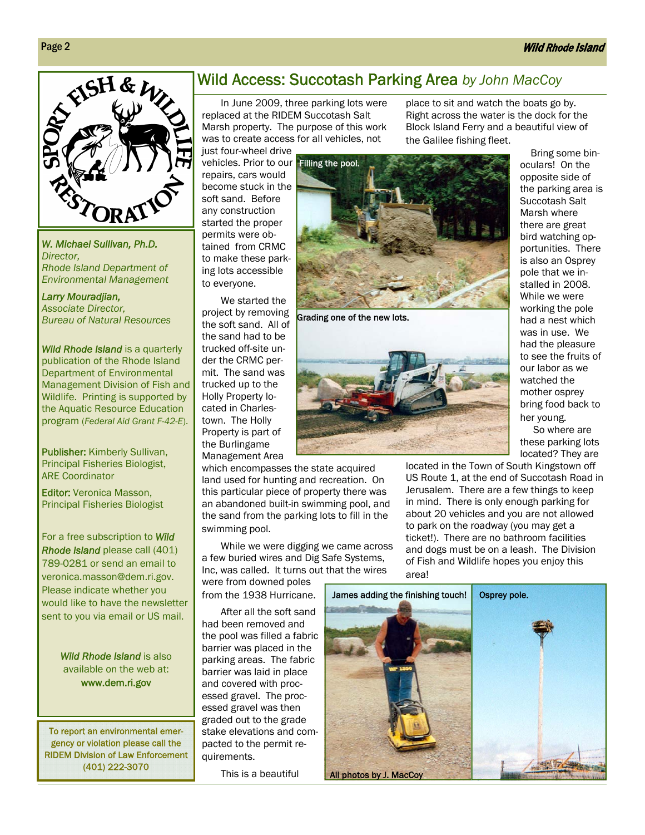place to sit and watch the boats go by. Right across the water is the dock for the Block Island Ferry and a beautiful view of

the Galilee fishing fleet.



*W. Michael Sullivan, Ph.D. Director, Rhode Island Department of Environmental Management* 

#### *Larry Mouradjian, Associate Director, Bureau of Natural Resources*

*Wild Rhode Island* is a quarterly publication of the Rhode Island Department of Environmental Management Division of Fish and Wildlife. Printing is supported by the Aquatic Resource Education program (*Federal Aid Grant F-42-E*).

alter the landscape, and Publisher: Kimberly Sullivan, Principal Fisheries Biologist, ARE Coordinator

Editor: Veronica Masson, Principal Fisheries Biologist

For a free subscription to *Wild Rhode Island* please call (401) 789-0281 or send an email to veronica.masson@dem.ri.gov. Please indicate whether you would like to have the newsletter sent to you via email or US mail.

> *Wild Rhode Island* is also available on the web at: www.dem.ri.gov

To report an environmental emergency or violation please call the RIDEM Division of Law Enforcement (401) 222-3070

#### Wild Access: Succotash Parking Area *by John MacCoy*

In June 2009, three parking lots were replaced at the RIDEM Succotash Salt Marsh property. The purpose of this work was to create access for all vehicles, not

just four-wheel drive vehicles. Prior to our Filling the pool. repairs, cars would become stuck in the soft sand. Before any construction started the proper permits were obtained from CRMC to make these parking lots accessible to everyone.

We started the project by removing the soft sand. All of the sand had to be trucked off-site under the CRMC permit. The sand was trucked up to the Holly Property located in Charlestown. The Holly Property is part of the Burlingame Management Area

which encompasses the state acquired land used for hunting and recreation. On this particular piece of property there was an abandoned built-in swimming pool, and the sand from the parking lots to fill in the swimming pool.

While we were digging we came across a few buried wires and Dig Safe Systems, Inc, was called. It turns out that the wires were from downed poles

from the 1938 Hurricane.

After all the soft sand had been removed and the pool was filled a fabric barrier was placed in the parking areas. The fabric barrier was laid in place and covered with processed gravel. The processed gravel was then graded out to the grade stake elevations and compacted to the permit requirements.

This is a beautiful



Grading one of the new lots.



located in the Town of South Kingstown off US Route 1, at the end of Succotash Road in Jerusalem. There are a few things to keep in mind. There is only enough parking for about 20 vehicles and you are not allowed to park on the roadway (you may get a ticket!). There are no bathroom facilities and dogs must be on a leash. The Division of Fish and Wildlife hopes you enjoy this area!



 Bring some binoculars! On the opposite side of the parking area is Succotash Salt Marsh where there are great bird watching opportunities. There is also an Osprey pole that we installed in 2008. While we were working the pole had a nest which was in use. We had the pleasure to see the fruits of our labor as we watched the mother osprey bring food back to

her young. So where are these parking lots located? They are

Page 2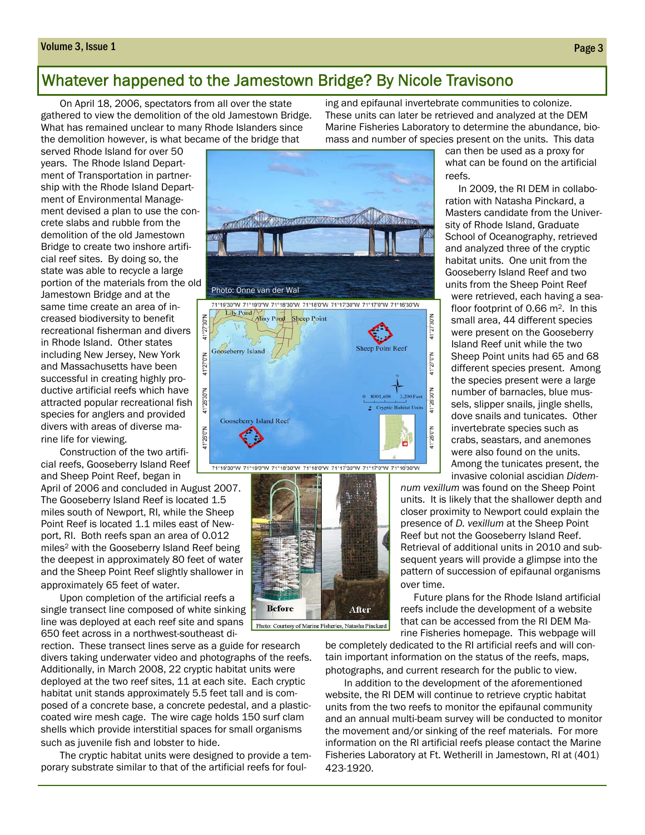#### Volume 3, Issue 1 Page 3

#### Whatever happened to the Jamestown Bridge? By Nicole Travisono

On April 18, 2006, spectators from all over the state gathered to view the demolition of the old Jamestown Bridge. What has remained unclear to many Rhode Islanders since the demolition however, is what became of the bridge that

served Rhode Island for over 50 years. The Rhode Island Department of Transportation in partnership with the Rhode Island Department of Environmental Management devised a plan to use the concrete slabs and rubble from the demolition of the old Jamestown Bridge to create two inshore artificial reef sites. By doing so, the state was able to recycle a large portion of the materials from the old Jamestown Bridge and at the same time create an area of increased biodiversity to benefit recreational fisherman and divers in Rhode Island. Other states including New Jersey, New York and Massachusetts have been successful in creating highly productive artificial reefs which have attracted popular recreational fish species for anglers and provided divers with areas of diverse marine life for viewing.

Construction of the two artificial reefs, Gooseberry Island Reef and Sheep Point Reef, began in

April of 2006 and concluded in August 2007. The Gooseberry Island Reef is located 1.5 miles south of Newport, RI, while the Sheep Point Reef is located 1.1 miles east of Newport, RI. Both reefs span an area of 0.012 miles2 with the Gooseberry Island Reef being the deepest in approximately 80 feet of water and the Sheep Point Reef slightly shallower in approximately 65 feet of water.

Upon completion of the artificial reefs a single transect line composed of white sinking line was deployed at each reef site and spans 650 feet across in a northwest-southeast di-

rection. These transect lines serve as a guide for research divers taking underwater video and photographs of the reefs. Additionally, in March 2008, 22 cryptic habitat units were deployed at the two reef sites, 11 at each site. Each cryptic habitat unit stands approximately 5.5 feet tall and is composed of a concrete base, a concrete pedestal, and a plasticcoated wire mesh cage. The wire cage holds 150 surf clam shells which provide interstitial spaces for small organisms such as juvenile fish and lobster to hide.

The cryptic habitat units were designed to provide a temporary substrate similar to that of the artificial reefs for foul-





ing and epifaunal invertebrate communities to colonize. These units can later be retrieved and analyzed at the DEM Marine Fisheries Laboratory to determine the abundance, biomass and number of species present on the units. This data

> can then be used as a proxy for what can be found on the artificial reefs.

 In 2009, the RI DEM in collaboration with Natasha Pinckard, a Masters candidate from the University of Rhode Island, Graduate School of Oceanography, retrieved and analyzed three of the cryptic habitat units. One unit from the Gooseberry Island Reef and two units from the Sheep Point Reef

were retrieved, each having a seafloor footprint of 0.66 m<sup>2</sup>. In this small area, 44 different species were present on the Gooseberry Island Reef unit while the two Sheep Point units had 65 and 68 different species present. Among the species present were a large number of barnacles, blue mussels, slipper snails, jingle shells, dove snails and tunicates. Other invertebrate species such as crabs, seastars, and anemones were also found on the units. Among the tunicates present, the invasive colonial ascidian *Didem-*

*num vexillum* was found on the Sheep Point units. It is likely that the shallower depth and closer proximity to Newport could explain the presence of *D. vexillum* at the Sheep Point Reef but not the Gooseberry Island Reef. Retrieval of additional units in 2010 and subsequent years will provide a glimpse into the pattern of succession of epifaunal organisms over time.

 Future plans for the Rhode Island artificial reefs include the development of a website that can be accessed from the RI DEM Marine Fisheries homepage. This webpage will

be completely dedicated to the RI artificial reefs and will contain important information on the status of the reefs, maps, photographs, and current research for the public to view.

In addition to the development of the aforementioned website, the RI DEM will continue to retrieve cryptic habitat units from the two reefs to monitor the epifaunal community and an annual multi-beam survey will be conducted to monitor the movement and/or sinking of the reef materials. For more information on the RI artificial reefs please contact the Marine Fisheries Laboratory at Ft. Wetherill in Jamestown, RI at (401) 423-1920.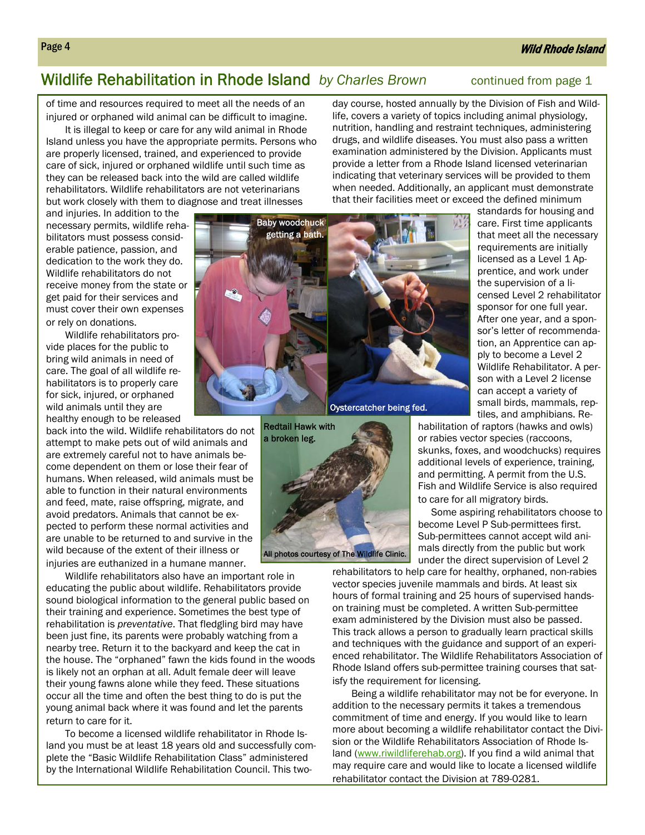#### Wild Rhode Island

# Wildlife Rehabilitation in Rhode Island *by Charles Brown* continued from page 1

of time and resources required to meet all the needs of an injured or orphaned wild animal can be difficult to imagine.

It is illegal to keep or care for any wild animal in Rhode Island unless you have the appropriate permits. Persons who are properly licensed, trained, and experienced to provide care of sick, injured or orphaned wildlife until such time as they can be released back into the wild are called wildlife rehabilitators. Wildlife rehabilitators are not veterinarians but work closely with them to diagnose and treat illnesses

day course, hosted annually by the Division of Fish and Wildlife, covers a variety of topics including animal physiology, nutrition, handling and restraint techniques, administering drugs, and wildlife diseases. You must also pass a written examination administered by the Division. Applicants must provide a letter from a Rhode Island licensed veterinarian indicating that veterinary services will be provided to them when needed. Additionally, an applicant must demonstrate that their facilities meet or exceed the defined minimum

and injuries. In addition to the necessary permits, wildlife rehabilitators must possess considerable patience, passion, and dedication to the work they do. Wildlife rehabilitators do not receive money from the state or get paid for their services and must cover their own expenses or rely on donations.

Wildlife rehabilitators provide places for the public to bring wild animals in need of care. The goal of all wildlife rehabilitators is to properly care for sick, injured, or orphaned wild animals until they are healthy enough to be released

back into the wild. Wildlife rehabilitators do not attempt to make pets out of wild animals and are extremely careful not to have animals become dependent on them or lose their fear of humans. When released, wild animals must be able to function in their natural environments and feed, mate, raise offspring, migrate, and avoid predators. Animals that cannot be expected to perform these normal activities and are unable to be returned to and survive in the wild because of the extent of their illness or injuries are euthanized in a humane manner.

Wildlife rehabilitators also have an important role in educating the public about wildlife. Rehabilitators provide sound biological information to the general public based on their training and experience. Sometimes the best type of rehabilitation is *preventative*. That fledgling bird may have been just fine, its parents were probably watching from a nearby tree. Return it to the backyard and keep the cat in the house. The "orphaned" fawn the kids found in the woods is likely not an orphan at all. Adult female deer will leave their young fawns alone while they feed. These situations occur all the time and often the best thing to do is put the young animal back where it was found and let the parents return to care for it.

To become a licensed wildlife rehabilitator in Rhode Island you must be at least 18 years old and successfully complete the "Basic Wildlife Rehabilitation Class" administered by the International Wildlife Rehabilitation Council. This two-





standards for housing and care. First time applicants that meet all the necessary requirements are initially licensed as a Level 1 Apprentice, and work under the supervision of a licensed Level 2 rehabilitator sponsor for one full year. After one year, and a sponsor's letter of recommendation, an Apprentice can apply to become a Level 2 Wildlife Rehabilitator. A person with a Level 2 license can accept a variety of small birds, mammals, reptiles, and amphibians. Re-

habilitation of raptors (hawks and owls) or rabies vector species (raccoons, skunks, foxes, and woodchucks) requires additional levels of experience, training, and permitting. A permit from the U.S. Fish and Wildlife Service is also required to care for all migratory birds.

 Some aspiring rehabilitators choose to become Level P Sub-permittees first. Sub-permittees cannot accept wild animals directly from the public but work under the direct supervision of Level 2

rehabilitators to help care for healthy, orphaned, non-rabies vector species juvenile mammals and birds. At least six hours of formal training and 25 hours of supervised handson training must be completed. A written Sub-permittee exam administered by the Division must also be passed. This track allows a person to gradually learn practical skills and techniques with the guidance and support of an experienced rehabilitator. The Wildlife Rehabilitators Association of Rhode Island offers sub-permittee training courses that satisfy the requirement for licensing.

Being a wildlife rehabilitator may not be for everyone. In addition to the necessary permits it takes a tremendous commitment of time and energy. If you would like to learn more about becoming a wildlife rehabilitator contact the Division or the Wildlife Rehabilitators Association of Rhode Island (www.riwildliferehab.org). If you find a wild animal that may require care and would like to locate a licensed wildlife rehabilitator contact the Division at 789-0281.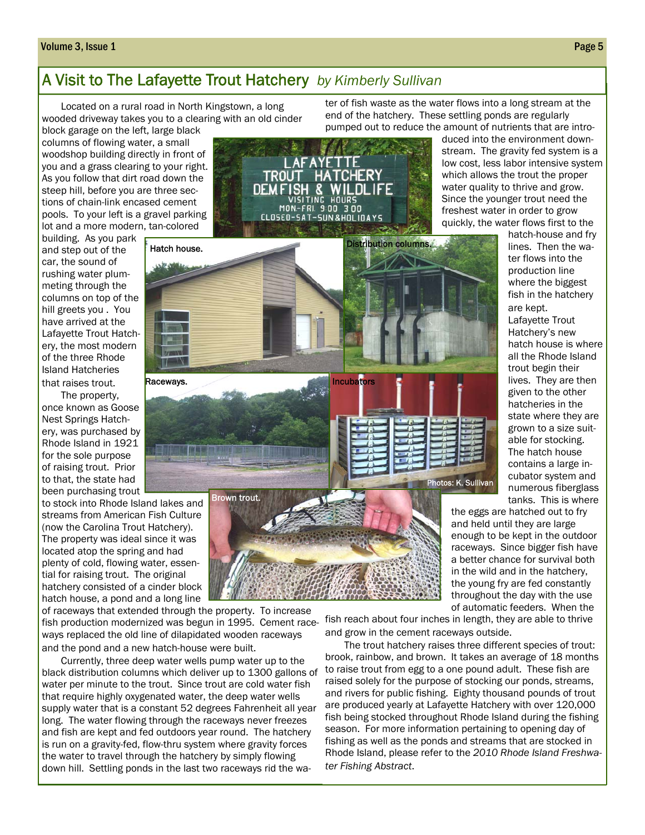#### Volume 3, Issue 1 Page 5

# A Visit to The Lafayette Trout Hatchery *by Kimberly Sullivan*

Located on a rural road in North Kingstown, a long wooded driveway takes you to a clearing with an old cinder

Hatch house.

Raceways.

in Tij

block garage on the left, large black columns of flowing water, a small woodshop building directly in front of you and a grass clearing to your right. As you follow that dirt road down the steep hill, before you are three sections of chain-link encased cement pools. To your left is a gravel parking lot and a more modern, tan-colored

building. As you park and step out of the car, the sound of rushing water plummeting through the columns on top of the hill greets you . You have arrived at the Lafayette Trout Hatchery, the most modern of the three Rhode Island Hatcheries that raises trout.

The property, once known as Goose Nest Springs Hatchery, was purchased by Rhode Island in 1921 for the sole purpose of raising trout. Prior to that, the state had been purchasing trout

to stock into Rhode Island lakes and streams from American Fish Culture (now the Carolina Trout Hatchery). The property was ideal since it was located atop the spring and had plenty of cold, flowing water, essential for raising trout. The original hatchery consisted of a cinder block hatch house, a pond and a long line

of raceways that extended through the property. To increase fish production modernized was begun in 1995. Cement raceways replaced the old line of dilapidated wooden raceways and the pond and a new hatch-house were built.

Brown trout.

Currently, three deep water wells pump water up to the black distribution columns which deliver up to 1300 gallons of water per minute to the trout. Since trout are cold water fish that require highly oxygenated water, the deep water wells supply water that is a constant 52 degrees Fahrenheit all year long. The water flowing through the raceways never freezes and fish are kept and fed outdoors year round. The hatchery is run on a gravity-fed, flow-thru system where gravity forces the water to travel through the hatchery by simply flowing down hill. Settling ponds in the last two raceways rid the wa-

ter of fish waste as the water flows into a long stream at the end of the hatchery. These settling ponds are regularly pumped out to reduce the amount of nutrients that are intro-



**Incubators** 

duced into the environment downstream. The gravity fed system is a low cost, less labor intensive system which allows the trout the proper water quality to thrive and grow. Since the younger trout need the freshest water in order to grow quickly, the water flows first to the

> hatch-house and fry lines. Then the water flows into the production line where the biggest fish in the hatchery are kept.

Lafayette Trout Hatchery's new hatch house is where all the Rhode Island trout begin their lives. They are then given to the other hatcheries in the state where they are grown to a size suitable for stocking. The hatch house contains a large incubator system and numerous fiberglass tanks. This is where

the eggs are hatched out to fry and held until they are large enough to be kept in the outdoor raceways. Since bigger fish have a better chance for survival both in the wild and in the hatchery, the young fry are fed constantly throughout the day with the use of automatic feeders. When the

fish reach about four inches in length, they are able to thrive and grow in the cement raceways outside.

Photos: K. Sullivan

The trout hatchery raises three different species of trout: brook, rainbow, and brown. It takes an average of 18 months to raise trout from egg to a one pound adult. These fish are raised solely for the purpose of stocking our ponds, streams, and rivers for public fishing. Eighty thousand pounds of trout are produced yearly at Lafayette Hatchery with over 120,000 fish being stocked throughout Rhode Island during the fishing season. For more information pertaining to opening day of fishing as well as the ponds and streams that are stocked in Rhode Island, please refer to the *2010 Rhode Island Freshwater Fishing Abstract*.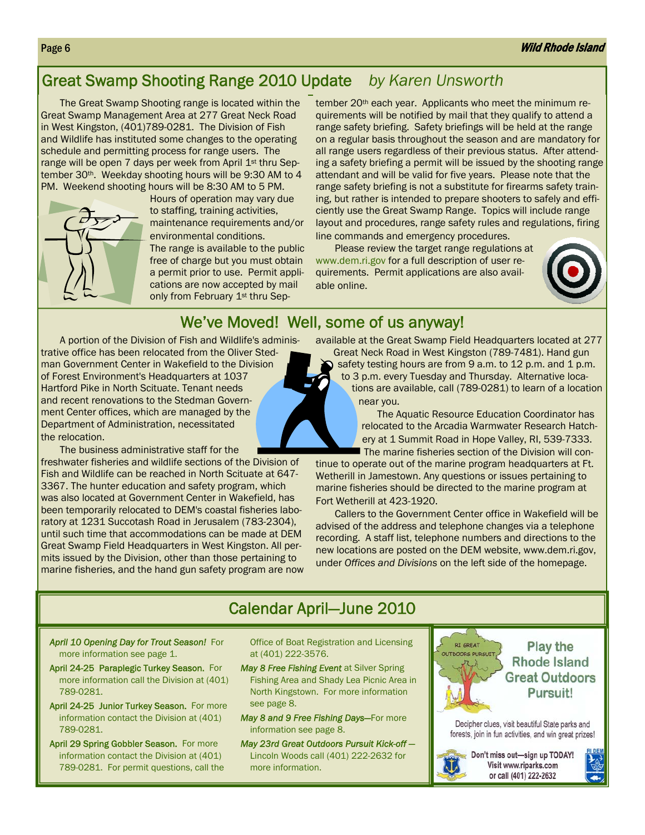#### Page 6 November 2008 and the Community of the Community of the Community of the Community of the Community of the Community of the Community of the Community of the Community of the Community of the Community of the Commun

# Great Swamp Shooting Range 2010 Update *by Karen Unsworth*

The Great Swamp Shooting range is located within the Great Swamp Management Area at 277 Great Neck Road in West Kingston, (401)789-0281. The Division of Fish and Wildlife has instituted some changes to the operating schedule and permitting process for range users. The range will be open 7 days per week from April 1<sup>st</sup> thru September 30<sup>th</sup>. Weekday shooting hours will be 9:30 AM to 4 PM. Weekend shooting hours will be 8:30 AM to 5 PM.



Hours of operation may vary due to staffing, training activities, maintenance requirements and/or environmental conditions.

The range is available to the public free of charge but you must obtain a permit prior to use. Permit applications are now accepted by mail only from February 1<sup>st</sup> thru September 20<sup>th</sup> each year. Applicants who meet the minimum requirements will be notified by mail that they qualify to attend a range safety briefing. Safety briefings will be held at the range on a regular basis throughout the season and are mandatory for all range users regardless of their previous status. After attending a safety briefing a permit will be issued by the shooting range attendant and will be valid for five years. Please note that the range safety briefing is not a substitute for firearms safety training, but rather is intended to prepare shooters to safely and efficiently use the Great Swamp Range. Topics will include range layout and procedures, range safety rules and regulations, firing line commands and emergency procedures.

Please review the target range regulations at www.dem.ri.gov for a full description of user requirements. Permit applications are also available online.



# We've Moved! Well, some of us anyway!

A portion of the Division of Fish and Wildlife's administrative office has been relocated from the Oliver Stedman Government Center in Wakefield to the Division of Forest Environment's Headquarters at 1037 Hartford Pike in North Scituate. Tenant needs and recent renovations to the Stedman Government Center offices, which are managed by the Department of Administration, necessitated the relocation.

The business administrative staff for the

freshwater fisheries and wildlife sections of the Division of Fish and Wildlife can be reached in North Scituate at 647- 3367. The hunter education and safety program, which was also located at Government Center in Wakefield, has been temporarily relocated to DEM's coastal fisheries laboratory at 1231 Succotash Road in Jerusalem (783-2304), until such time that accommodations can be made at DEM Great Swamp Field Headquarters in West Kingston. All permits issued by the Division, other than those pertaining to marine fisheries, and the hand gun safety program are now available at the Great Swamp Field Headquarters located at 277

Great Neck Road in West Kingston (789-7481). Hand gun safety testing hours are from 9 a.m. to 12 p.m. and 1 p.m. to 3 p.m. every Tuesday and Thursday. Alternative locations are available, call (789-0281) to learn of a location near you.

> The Aquatic Resource Education Coordinator has relocated to the Arcadia Warmwater Research Hatchery at 1 Summit Road in Hope Valley, RI, 539-7333. The marine fisheries section of the Division will con-

tinue to operate out of the marine program headquarters at Ft. Wetherill in Jamestown. Any questions or issues pertaining to marine fisheries should be directed to the marine program at Fort Wetherill at 423-1920.

Callers to the Government Center office in Wakefield will be advised of the address and telephone changes via a telephone recording. A staff list, telephone numbers and directions to the new locations are posted on the DEM website, www.dem.ri.gov, under *Offices and Divisions* on the left side of the homepage.

# Calendar April—June 2010

*April 10 Opening Day for Trout Season!* For more information see page 1.

- April 24-25 Paraplegic Turkey Season. For more information call the Division at (401) 789-0281.
- April 24-25 Junior Turkey Season. For more information contact the Division at (401) 789-0281.
- April 29 Spring Gobbler Season. For more information contact the Division at (401) 789-0281. For permit questions, call the

Office of Boat Registration and Licensing at (401) 222-3576.

- **May 8 Free Fishing Event at Silver Spring** Fishing Area and Shady Lea Picnic Area in North Kingstown. For more information see page 8.
- *May 8 and 9 Free Fishing Days—*For more information see page 8.
- *May 23rd Great Outdoors Pursuit Kick-off —* Lincoln Woods call (401) 222-2632 for more information.



**Play the Rhode Island Great Outdoors** Pursuit!

Decipher clues, visit beautiful State parks and forests, join in fun activities, and win great prizes!



Don't miss out-sign up TODAY! Visit www.riparks.com or call (401) 222-2632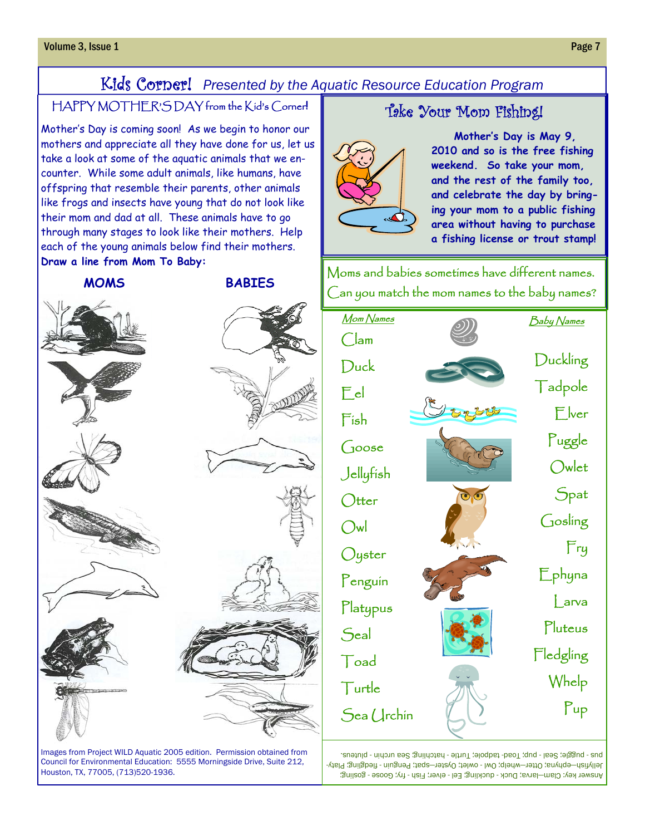# Kids Corner! *Presented by the Aquatic Resource Education Program*

# HAPPY MOTHER'S DAY from the Kid's Corner**!**

Mother's Day is coming soon! As we begin to honor our mothers and appreciate all they have done for us, let us take a look at some of the aquatic animals that we encounter. While some adult animals, like humans, have offspring that resemble their parents, other animals like frogs and insects have young that do not look like their mom and dad at all. These animals have to go through many stages to look like their mothers. Help each of the young animals below find their mothers. **Draw a line from Mom To Baby:**



Images from Project WILD Aquatic 2005 edition. Permission obtained from Council for Environmental Education: 5555 Morningside Drive, Suite 212, Houston, TX, 77005, (713)520-1936.

# Take Your Mom Fishing!



 **Mother's Day is May 9, 2010 and so is the free fishing weekend. So take your mom, and the rest of the family too, and celebrate the day by bringing your mom to a public fishing area without having to purchase a fishing license or trout stamp!**

Moms and babies sometimes have different names. Can you match the mom names to the baby names?

| <u> Mom Names</u> | Baby Names       |
|-------------------|------------------|
| $\bigcirc$ lam    | Duckling         |
| Duck              |                  |
| $E$ el            | Tadpole          |
| $F$ ish           | $E$ wer          |
| $\int$ 1005 $e$   | Puggle           |
| Jellyfish         | Owlet            |
| $\bigcirc$ tter   | $S_{\text{pat}}$ |
| $\bigcirc$ wl     | Gosling          |
| Oyster            | Fry              |
| Penguin           | Ephyna           |
| Platypus          | $\sqrt{a}$       |
| S <sub>cal</sub>  | Pluteus          |
| Toad              | Fledgling        |
| Turtle            | Whelp            |
| Sea Urchin        | $P$ up           |
|                   |                  |

Answer key: Clam-larva; Duck - duckling; Eel - elver; Fish - fry; Goose - gosling; Jellyfish—ephyna; Otter—whelp; Owl - owlet; Oyster—spat; Penguin - fledgling; Platybus - buggle; Seal - pup; Toad- tadpole; Turtle - hatchling; Sea urchin - pluteus.